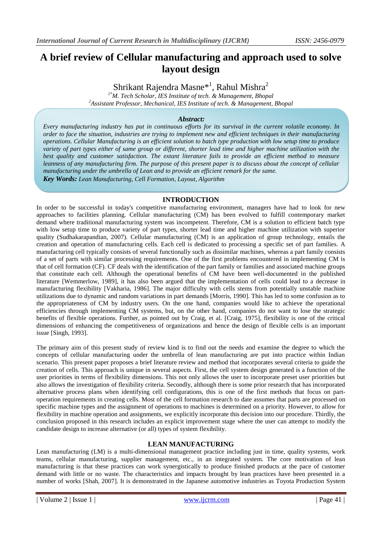# **A brief review of Cellular manufacturing and approach used to solve layout design**

Shrikant Rajendra Masne\*<sup>1</sup>, Rahul Mishra<sup>2</sup>

*1\*M. Tech Scholar, IES Institute of tech. & Management, Bhopal <sup>2</sup>Assistant Professor, Mechanical, IES Institute of tech. & Management, Bhopal*

## *Abstract:*

*Every manufacturing industry has put in continuous efforts for its survival in the current volatile economy. In order to face the situation, industries are trying to implement new and efficient techniques in their manufacturing operations. Cellular Manufacturing is an efficient solution to batch type production with low setup time to produce variety of part types either of same group or different, shorter lead time and higher machine utilization with the best quality and customer satisfaction. The extant literature fails to provide an efficient method to measure leanness of any manufacturing firm. The purpose of this present paper is to discuss about the concept of cellular manufacturing under the umbrella of Lean and to provide an efficient remark for the same. Key Words: Lean Manufacturing, Cell Formation, Layout, Algorithm*

## **INTRODUCTION**

In order to be successful in today's competitive manufacturing environment, managers have had to look for new approaches to facilities planning. Cellular manufacturing (CM) has been evolved to fulfill contemporary market demand where traditional manufacturing system was incompetent. Therefore, CM is a solution to efficient batch type with low setup time to produce variety of part types, shorter lead time and higher machine utilization with superior quality (Sudhakarapandian, 2007). Cellular manufacturing (CM) is an application of group technology, entails the creation and operation of manufacturing cells. Each cell is dedicated to processing a specific set of part families. A manufacturing cell typically consists of several functionally such as dissimilar machines, whereas a part family consists of a set of parts with similar processing requirements. One of the first problems encountered in implementing CM is that of cell formation (CF). CF deals with the identification of the part family or families and associated machine groups that constitute each cell. Although the operational benefits of CM have been well-documented in the published literature [Wemmerlow, 1989], it has also been argued that the implementation of cells could lead to a decrease in manufacturing flexibility [Vakharia, 1986]. The major difficulty with cells stems from potentially unstable machine utilizations due to dynamic and random variations in part demands [Morris, 1990]. This has led to some confusion as to the appropriateness of CM by industry users. On the one hand, companies would like to achieve the operational efficiencies through implementing CM systems, but, on the other hand, companies do not want to lose the strategic benefits of flexible operations. Further, as pointed out by Craig, et al. [Craig, 1975], flexibility is one of the critical dimensions of enhancing the competitiveness of organizations and hence the design of flexible cells is an important issue [Singh, 1993].

The primary aim of this present study of review kind is to find out the needs and examine the degree to which the concepts of cellular manufacturing under the umbrella of lean manufacturing are put into practice within Indian scenario. This present paper proposes a brief literature review and method that incorporates several criteria to guide the creation of cells. This approach is unique in several aspects. First, the cell system design generated is a function of the user priorities in terms of flexibility dimensions. This not only allows the user to incorporate preset user priorities but also allows the investigation of flexibility criteria. Secondly, although there is some prior research that has incorporated alternative process plans when identifying cell configurations, this is one of the first methods that focus on partoperation requirements in creating cells. Most of the cell formation research to date assumes that parts are processed on specific machine types and the assignment of operations to machines is determined on a priority. However, to allow for flexibility in machine operation and assignments, we explicitly incorporate this decision into our procedure. Thirdly, the conclusion proposed in this research includes an explicit improvement stage where the user can attempt to modify the candidate design to increase alternative (or all) types of system flexibility.

# **LEAN MANUFACTURING**

Lean manufacturing (LM) is a multi-dimensional management practice including just in time, quality systems, work teams, cellular manufacturing, supplier management, etc., in an integrated system. The core motivation of lean manufacturing is that these practices can work synergistically to produce finished products at the pace of customer demand with little or no waste. The characteristics and impacts brought by lean practices have been presented in a number of works [Shah, 2007]. It is demonstrated in the Japanese automotive industries as Toyota Production System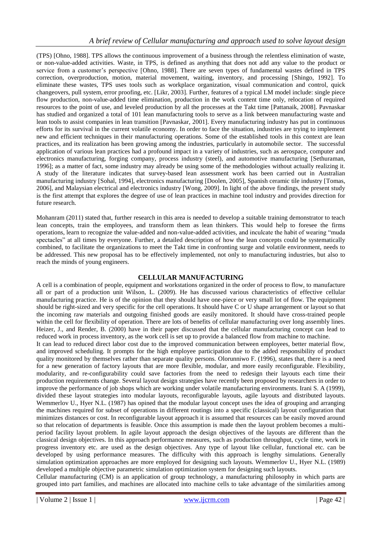(TPS) [Ohno, 1988]. TPS allows the continuous improvement of a business through the relentless elimination of waste, or non-value-added activities. Waste, in TPS, is defined as anything that does not add any value to the product or service from a customer's perspective [Ohno, 1988]. There are seven types of fundamental wastes defined in TPS correction, overproduction, motion, material movement, waiting, inventory, and processing [Shingo, 1992]. To eliminate these wastes, TPS uses tools such as workplace organization, visual communication and control, quick changeovers, pull system, error proofing, etc. [Likr, 2003]. Further, features of a typical LM model include: single piece flow production, non-value-added time elimination, production in the work content time only, relocation of required resources to the point of use, and leveled production by all the processes at the Takt time [Pattanaik, 2008]. Pavnaskar has studied and organized a total of 101 lean manufacturing tools to serve as a link between manufacturing waste and lean tools to assist companies in lean transition [Pavnaskar, 2001]. Every manufacturing industry has put in continuous efforts for its survival in the current volatile economy. In order to face the situation, industries are trying to implement new and efficient techniques in their manufacturing operations. Some of the established tools in this context are lean practices, and its realization has been growing among the industries, particularly in automobile sector. The successful application of various lean practices had a profound impact in a variety of industries, such as aerospace, computer and electronics manufacturing, forging company, process industry (steel), and automotive manufacturing [Sethuraman, 1996]; as a matter of fact, some industry may already be using some of the methodologies without actually realizing it. A study of the literature indicates that survey-based lean assessment work has been carried out in Australian manufacturing industry [Sohal, 1994], electronics manufacturing [Doolen, 2005], Spanish ceramic tile industry [Tomas, 2006], and Malaysian electrical and electronics industry [Wong, 2009]. In light of the above findings, the present study is the first attempt that explores the degree of use of lean practices in machine tool industry and provides direction for future research.

Mohanram (2011) stated that, further research in this area is needed to develop a suitable training demonstrator to teach lean concepts, train the employees, and transform them as lean thinkers. This would help to foresee the firms operations, learn to recognize the value-added and non-value-added activities, and inculcate the habit of wearing "muda spectacles" at all times by everyone. Further, a detailed description of how the lean concepts could be systematically combined, to facilitate the organizations to meet the Takt time in confronting surge and volatile environment, needs to be addressed. This new proposal has to be effectively implemented, not only to manufacturing industries, but also to reach the minds of young engineers.

# **CELLULAR MANUFACTURING**

A cell is a combination of people, equipment and workstations organized in the order of process to flow, to manufacture all or part of a production unit Wilson, L. (2009). He has discussed various characteristics of effective cellular manufacturing practice. He is of the opinion that they should have one-piece or very small lot of flow. The equipment should be right-sized and very specific for the cell operations. It should have C or U shape arrangement or layout so that the incoming raw materials and outgoing finished goods are easily monitored. It should have cross-trained people within the cell for flexibility of operation. There are lots of benefits of cellular manufacturing over long assembly lines. Heizer, J., and Render, B. (2000) have in their paper discussed that the cellular manufacturing concept can lead to reduced work in process inventory, as the work cell is set up to provide a balanced flow from machine to machine.

It can lead to reduced direct labor cost due to the improved communication between employees, better material flow, and improved scheduling. It prompts for the high employee participation due to the added responsibility of product quality monitored by themselves rather than separate quality persons. Olorunniwo F. (1996), states that, there is a need for a new generation of factory layouts that are more flexible, modular, and more easily reconfigurable. Flexibility, modularity, and re-configurability could save factories from the need to redesign their layouts each time their production requirements change. Several layout design strategies have recently been proposed by researchers in order to improve the performance of job shops which are working under volatile manufacturing environments. Irani S. A (1999), divided these layout strategies into modular layouts, reconfigurable layouts, agile layouts and distributed layouts. Wemmerlov U., Hyer N.L. (1987) has opined that the modular layout concept uses the idea of grouping and arranging the machines required for subset of operations in different routings into a specific (classical) layout configuration that minimizes distances or cost. In reconfigurable layout approach it is assumed that resources can be easily moved around so that relocation of departments is feasible. Once this assumption is made then the layout problem becomes a multiperiod facility layout problem. In agile layout approach the design objectives of the layouts are different than the classical design objectives. In this approach performance measures, such as production throughput, cycle time, work in progress inventory etc. are used as the design objectives. Any type of layout like cellular, functional etc. can be developed by using performance measures. The difficulty with this approach is lengthy simulations. Generally simulation optimization approaches are more employed for designing such layouts. Wemmerlov U., Hyer N.L. (1989) developed a multiple objective parametric simulation optimization system for designing such layouts.

Cellular manufacturing (CM) is an application of group technology, a manufacturing philosophy in which parts are grouped into part families, and machines are allocated into machine cells to take advantage of the similarities among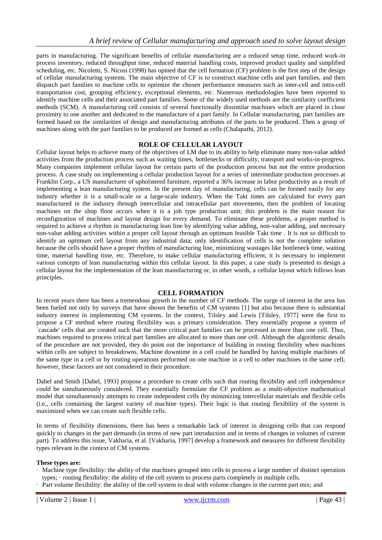parts in manufacturing. The significant benefits of cellular manufacturing are a reduced setup time, reduced work-in process inventory, reduced throughput time, reduced material handling costs, improved product quality and simplified scheduling, etc. Nicoletti, S. Nicosi (1998) has opined that the cell formation (CF) problem is the first step of the design of cellular manufacturing systems. The main objective of CF is to construct machine cells and part families, and then dispatch part families to machine cells to optimize the chosen performance measures such as inter-cell and intra-cell transportation cost, grouping efficiency, exceptional elements, etc. Numerous methodologies have been reported to identify machine cells and their associated part families. Some of the widely used methods are the similarity coefficient methods (SCM). A manufacturing cell consists of several functionally dissimilar machines which are placed in close proximity to one another and dedicated to the manufacture of a part family. In Cellular manufacturing, part families are formed based on the similarities of design and manufacturing attributes of the parts to be produced. Then a group of machines along with the part families to be produced are formed as cells (Chalapathi, 2012).

## **ROLE OF CELLULAR LAYOUT**

Cellular layout helps to achieve many of the objectives of LM due to its ability to help eliminate many non-value added activities from the production process such as waiting times, bottlenecks or difficulty, transport and works-in-progress. Many companies implement cellular layout for certain parts of the production process but not the entire production process. A case study on implementing a cellular production layout for a series of intermediate production processes at Franklin Corp., a US manufacturer of upholstered furniture, reported a 36% increase in labor productivity as a result of implementing a lean manufacturing system. In the present day of manufacturing, cells can be formed easily for any industry whether it is a small-scale or a large-scale industry. When the Takt times are calculated for every part manufactured in the industry through intercellular and intracellular part movements, then the problem of locating machines on the shop floor occurs when it is a job type production unit; this problem is the main reason for reconfiguration of machines and layout design for every demand. To eliminate these problems, a proper method is required to achieve a rhythm in manufacturing lean line by identifying value adding, non-value adding, and necessary non-value adding activities within a proper cell layout through an optimum feasible Takt time . It is not so difficult to identify an optimum cell layout from any industrial data; only identification of cells is not the complete solution because the cells should have a proper rhythm of manufacturing line, minimizing wastages like bottleneck time, waiting time, material handling time, etc. Therefore, to make cellular manufacturing efficient, it is necessary to implement various concepts of lean manufacturing within this cellular layout. In this paper, a case study is presented to design a cellular layout for the implementation of the lean manufacturing or, in other words, a cellular layout which follows lean principles.

## **CELL FORMATION**

In recent years there has been a tremendous growth in the number of CF methods. The surge of interest in the area has been fueled not only by surveys that have shown the benefits of CM systems [1] but also because there is substantial industry interest in implementing CM systems. In the context, Tilsley and Lewis [Tilsley, 1977] were the first to propose a CF method where routing flexibility was a primary consideration. They essentially propose a system of `cascade' cells that are created such that the more critical part families can be processed in more than one cell. Thus, machines required to process critical part families are allocated to more than one cell. Although the algorithmic details of the procedure are not provided, they do point out the importance of building in routing flexibility when machines within cells are subject to breakdowns. Machine downtime in a cell could be handled by having multiple machines of the same type in a cell or by routing operations performed on one machine in a cell to other machines in the same cell; however, these factors are not considered in their procedure.

Dahel and Smith [Dahel, 1993] propose a procedure to create cells such that routing flexibility and cell independence could be simultaneously considered. They essentially formulate the CF problem as a multi-objective mathematical model that simultaneously attempts to create independent cells (by minimizing intercellular materials and flexible cells (i.e., cells containing the largest variety of machine types). Their logic is that routing flexibility of the system is maximized when we can create such flexible cells.

In terms of flexibility dimensions, there has been a remarkable lack of interest in designing cells that can respond quickly to changes in the part demands (in terms of new part introduction and in terms of changes in volumes of current part). To address this issue, Vakharia, et al. [Vakharia, 1997] develop a framework and measures for different flexibility types relevant in the context of CM systems.

#### **These types are:**

- · Machine type flexibility: the ability of the machines grouped into cells to process a large number of distinct operation types; · routing flexibility: the ability of the cell system to process parts completely in multiple cells.
- · Part volume flexibility: the ability of the cell system to deal with volume changes in the current part mix; and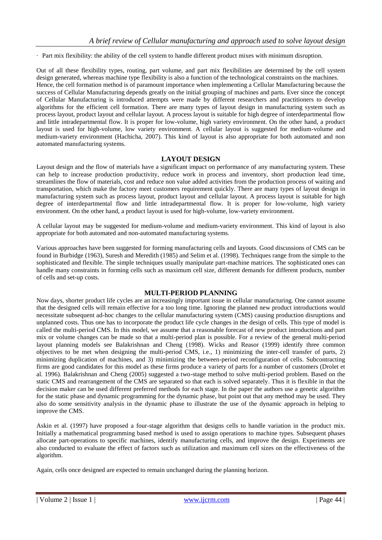· Part mix flexibility: the ability of the cell system to handle different product mixes with minimum disruption.

Out of all these flexibility types, routing, part volume, and part mix flexibilities are determined by the cell system design generated, whereas machine type flexibility is also a function of the technological constraints on the machines. Hence, the cell formation method is of paramount importance when implementing a Cellular Manufacturing because the success of Cellular Manufacturing depends greatly on the initial grouping of machines and parts. Ever since the concept of Cellular Manufacturing is introduced attempts were made by different researchers and practitioners to develop algorithms for the efficient cell formation. There are many types of layout design in manufacturing system such as process layout, product layout and cellular layout. A process layout is suitable for high degree of interdepartmental flow and little intradepartmental flow. It is proper for low-volume, high variety environment. On the other hand, a product layout is used for high-volume, low variety environment. A cellular layout is suggested for medium-volume and medium-variety environment (Hachicha, 2007). This kind of layout is also appropriate for both automated and non automated manufacturing systems.

## **LAYOUT DESIGN**

Layout design and the flow of materials have a significant impact on performance of any manufacturing system. These can help to increase production productivity, reduce work in process and inventory, short production lead time, streamlines the flow of materials, cost and reduce non value added activities from the production process of waiting and transportation, which make the factory meet customers requirement quickly. There are many types of layout design in manufacturing system such as process layout, product layout and cellular layout. A process layout is suitable for high degree of interdepartmental flow and little intradepartmental flow. It is proper for low-volume, high variety environment. On the other hand, a product layout is used for high-volume, low-variety environment.

A cellular layout may be suggested for medium-volume and medium-variety environment. This kind of layout is also appropriate for both automated and non-automated manufacturing systems.

Various approaches have been suggested for forming manufacturing cells and layouts. Good discussions of CMS can be found in Burbidge (1963), Suresh and Meredith (1985) and Selim et al. (1998). Techniques range from the simple to the sophisticated and flexible. The simple techniques usually manipulate part-machine matrices. The sophisticated ones can handle many constraints in forming cells such as maximum cell size, different demands for different products, number of cells and set-up costs.

## **MULTI-PERIOD PLANNING**

Now days, shorter product life cycles are an increasingly important issue in cellular manufacturing. One cannot assume that the designed cells will remain effective for a too long time. Ignoring the planned new product introductions would necessitate subsequent ad-hoc changes to the cellular manufacturing system (CMS) causing production disruptions and unplanned costs. Thus one has to incorporate the product life cycle changes in the design of cells. This type of model is called the multi-period CMS. In this model, we assume that a reasonable forecast of new product introductions and part mix or volume changes can be made so that a multi-period plan is possible. For a review of the general multi-period layout planning models see Balakrishnan and Cheng (1998). Wicks and Reasor (1999) identify three common objectives to be met when designing the multi-period CMS, i.e., 1) minimizing the inter-cell transfer of parts, 2) minimizing duplication of machines, and 3) minimizing the between-period reconfiguration of cells. Subcontracting firms are good candidates for this model as these firms produce a variety of parts for a number of customers (Drolet et al. 1996). Balakrishnan and Cheng (2005) suggested a two-stage method to solve multi-period problem. Based on the static CMS and rearrangement of the CMS are separated so that each is solved separately. Thus it is flexible in that the decision maker can be used different preferred methods for each stage. In the paper the authors use a genetic algorithm for the static phase and dynamic programming for the dynamic phase, but point out that any method may be used. They also do some sensitivity analysis in the dynamic phase to illustrate the use of the dynamic approach in helping to improve the CMS.

Askin et al. (1997) have proposed a four-stage algorithm that designs cells to handle variation in the product mix. Initially a mathematical programming based method is used to assign operations to machine types. Subsequent phases allocate part-operations to specific machines, identify manufacturing cells, and improve the design. Experiments are also conducted to evaluate the effect of factors such as utilization and maximum cell sizes on the effectiveness of the algorithm.

Again, cells once designed are expected to remain unchanged during the planning horizon.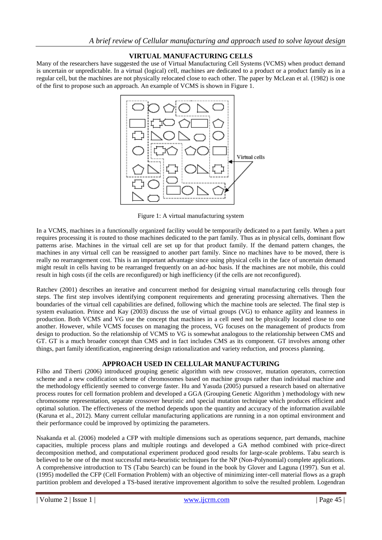# **VIRTUAL MANUFACTURING CELLS**

Many of the researchers have suggested the use of Virtual Manufacturing Cell Systems (VCMS) when product demand is uncertain or unpredictable. In a virtual (logical) cell, machines are dedicated to a product or a product family as in a regular cell, but the machines are not physically relocated close to each other. The paper by McLean et al. (1982) is one of the first to propose such an approach. An example of VCMS is shown in Figure 1.



Figure 1: A virtual manufacturing system

In a VCMS, machines in a functionally organized facility would be temporarily dedicated to a part family. When a part requires processing it is routed to those machines dedicated to the part family. Thus as in physical cells, dominant flow patterns arise. Machines in the virtual cell are set up for that product family. If the demand pattern changes, the machines in any virtual cell can be reassigned to another part family. Since no machines have to be moved, there is really no rearrangement cost. This is an important advantage since using physical cells in the face of uncertain demand might result in cells having to be rearranged frequently on an ad-hoc basis. If the machines are not mobile, this could result in high costs (if the cells are reconfigured) or high inefficiency (if the cells are not reconfigured).

Ratchev (2001) describes an iterative and concurrent method for designing virtual manufacturing cells through four steps. The first step involves identifying component requirements and generating processing alternatives. Then the boundaries of the virtual cell capabilities are defined, following which the machine tools are selected. The final step is system evaluation. Prince and Kay (2003) discuss the use of virtual groups (VG) to enhance agility and leanness in production. Both VCMS and VG use the concept that machines in a cell need not be physically located close to one another. However, while VCMS focuses on managing the process, VG focuses on the management of products from design to production. So the relationship of VCMS to VG is somewhat analogous to the relationship between CMS and GT. GT is a much broader concept than CMS and in fact includes CMS as its component. GT involves among other things, part family identification, engineering design rationalization and variety reduction, and process planning.

# **APPROACH USED IN CELLULAR MANUFACTURING**

Filho and Tiberti (2006) introduced grouping genetic algorithm with new crossover, mutation operators, correction scheme and a new codification scheme of chromosomes based on machine groups rather than individual machine and the methodology efficiently seemed to converge faster. Hu and Yasuda (2005) pursued a research based on alternative process routes for cell formation problem and developed a GGA (Grouping Genetic Algorithm ) methodology with new chromosome representation, separate crossover heuristic and special mutation technique which produces efficient and optimal solution. The effectiveness of the method depends upon the quantity and accuracy of the information available (Karuna et al., 2012). Many current cellular manufacturing applications are running in a non optimal environment and their performance could be improved by optimizing the parameters.

Nsakanda et al. (2006) modeled a CFP with multiple dimensions such as operations sequence, part demands, machine capacities, multiple process plans and multiple routings and developed a GA method combined with price-direct decomposition method, and computational experiment produced good results for large-scale problems. Tabu search is believed to be one of the most successful meta-heuristic techniques for the NP (Non-Polynomial) complete applications. A comprehensive introduction to TS (Tabu Search) can be found in the book by Glover and Laguna (1997). Sun et al. (1995) modelled the CFP (Cell Formation Problem) with an objective of minimizing inter-cell material flows as a graph partition problem and developed a TS-based iterative improvement algorithm to solve the resulted problem. Logendran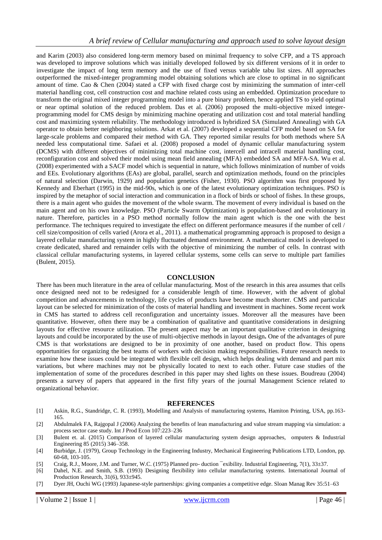and Karim (2003) also considered long-term memory based on minimal frequency to solve CFP, and a TS approach was developed to improve solutions which was initially developed followed by six different versions of it in order to investigate the impact of long term memory and the use of fixed versus variable tabu list sizes. All approaches outperformed the mixed-integer programming model obtaining solutions which are close to optimal in no significant amount of time. Cao & Chen (2004) stated a CFP with fixed charge cost by minimizing the summation of inter-cell material handling cost, cell construction cost and machine related costs using an embedded. Optimization procedure to transform the original mixed integer programming model into a pure binary problem, hence applied TS to yield optimal or near optimal solution of the reduced problem. Das et al. (2006) proposed the multi-objective mixed integerprogramming model for CMS design by minimizing machine operating and utilization cost and total material handling cost and maximizing system reliability. The methodology introduced is hybridized SA (Simulated Annealing) with GA operator to obtain better neighboring solutions. Arkat et al. (2007) developed a sequential CFP model based on SA for large-scale problems and compared their method with GA. They reported similar results for both methods where SA needed less computational time. Safaei et al. (2008) proposed a model of dynamic cellular manufacturing system (DCMS) with different objectives of minimizing total machine cost, intercell and intracell material handling cost, reconfiguration cost and solved their model using mean field annealing (MFA) embedded SA and MFA-SA. Wu et al. (2008) experimented with a SACF model which is sequential in nature, which follows minimization of number of voids and EEs. Evolutionary algorithms (EAs) are global, parallel, search and optimization methods, found on the principles of natural selection (Darwin, 1929) and population genetics (Fisher, 1930). PSO algorithm was first proposed by Kennedy and Eberhart (1995) in the mid-90s, which is one of the latest evolutionary optimization techniques. PSO is inspired by the metaphor of social interaction and communication in a flock of birds or school of fishes. In these groups, there is a main agent who guides the movement of the whole swarm. The movement of every individual is based on the main agent and on his own knowledge. PSO (Particle Swarm Optimization) is population-based and evolutionary in nature. Therefore, particles in a PSO method normally follow the main agent which is the one with the best performance. The techniques required to investigate the effect on different performance measures if the number of cell / cell size/composition of cells varied (Arora et al., 2011). a mathematical programming approach is proposed to design a layered cellular manufacturing system in highly fluctuated demand environment. A mathematical model is developed to create dedicated, shared and remainder cells with the objective of minimizing the number of cells. In contrast with classical cellular manufacturing systems, in layered cellular systems, some cells can serve to multiple part families (Bulent, 2015).

## **CONCLUSION**

There has been much literature in the area of cellular manufacturing. Most of the research in this area assumes that cells once designed need not to be redesigned for a considerable length of time. However, with the advent of global competition and advancements in technology, life cycles of products have become much shorter. CMS and particular layout can be selected for minimization of the costs of material handling and investment in machines. Some recent work in CMS has started to address cell reconfiguration and uncertainty issues. Moreover all the measures have been quantitative. However, often there may be a combination of qualitative and quantitative considerations in designing layouts for effective resource utilization. The present aspect may be an important qualitative criterion in designing layouts and could be incorporated by the use of multi-objective methods in layout design**.** One of the advantages of pure CMS is that workstations are designed to be in proximity of one another, based on product flow. This opens opportunities for organizing the best teams of workers with decision making responsibilities. Future research needs to examine how these issues could be integrated with flexible cell design, which helps dealing with demand and part mix variations, but where machines may not be physically located to next to each other. Future case studies of the implementation of some of the procedures described in this paper may shed lights on these issues. Boudreau (2004) presents a survey of papers that appeared in the first fifty years of the journal Management Science related to organizational behavior.

#### **REFERENCES**

- [1] Askin, R.G., Standridge, C. R. (1993), Modelling and Analysis of manufacturing systems, Hamiton Printing, USA, pp.163- 165.
- [2] Abdulmalek FA, Rajgopal J (2006) Analyzing the benefits of lean manufacturing and value stream mapping via simulation: a process sector case study. Int J Prod Econ 107:223–236
- [3] Bulent et. al. (2015) Comparison of layered cellular manufacturing system design approaches, omputers & Industrial Engineering 85 (2015) 346–358.
- [4] Burbidge, J. (1979), Group Technology in the Engineering Industry, Mechanical Engineering Publications LTD, London, pp. 60-68, 103-105.
- [5] Craig, R.J., Moore, J.M. and Turner, W.C. (1975) Planned pro- duction ¯exibility. Industrial Engineering, 7(1), 33±37.
- [6] Dahel, N.E. and Smith, S.B. (1993) Designing flexibility into cellular manufacturing systems. International Journal of Production Research,  $31(6)$ ,  $933\pm945$ .
- [7] Dyer JH, Ouchi WG (1993) Japanese-style partnerships: giving companies a competitive edge. Sloan Manag Rev 35:51–63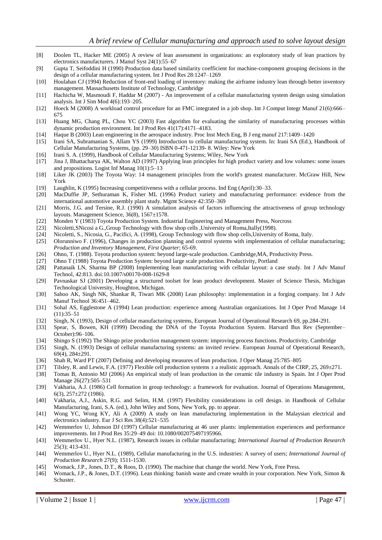- [8] Doolen TL, Hacker ME (2005) A review of lean assessment in organizations: an exploratory study of lean practices by electronics manufacturers. J Manuf Syst 24(1):55–67
- [9] Gupta T, Seifoddini H (1990) Production data based similarity coefficient for machine-component grouping decisions in the design of a cellular manufacturing system. Int J Prod Res 28:1247–1269
- [10] Houlahan CJ (1994) Reduction of front-end loading of inventory: making the airframe industry lean through better inventory management. Massachusetts Institute of Technology, Cambridge
- [11] Hachicha W, Masmoudi F, Haddar M (2007) An improvement of a cellular manufacturing system design using simulation analysis. Int J Sim Mod 4(6):193–205.
- [12] Hoeck M (2008) A workload control procedure for an FMC integrated in a job shop. Int J Comput Integr Manuf 21(6):666– 675
- [13] Huang MG, Chang PL, Chou YC (2003) Fast algorithm for evaluating the similarity of manufacturing processes within dynamic production environment. Int J Prod Res 41(17):4171–4183.
- [14] Haque B (2003) Lean engineering in the aerospace industry. Proc Inst Mech Eng, B J eng manuf 217:1409–1420
- [15] Irani SA, Subramanian S, Allam YS (1999) Introduction to cellular manufacturing system. In: Irani SA (Ed.), Handbook of Cellular Manufacturing Systems, (pp. 29–30) ISBN 0-471-12139- 8. Wiley: New York
- [16] Irani S. A. (1999), Handbook of Cellular Manufacturing Systems; Wiley, New York
- [17] Jina J, Bhattacharya AK, Walton AD (1997) Applying lean principles for high product variety and low volumes: some issues and propositions. Logist Inf Manag 10(1):5–13
- [18] Liker JK (2003) The Toyota Way: 14 management principles from the world's greatest manufacturer. McGraw Hill, New York
- [19] Laughlin, K (1995) Increasing competitiveness with a cellular process. Ind Eng (April):30–33.
- [20] MacDuffie JP, Sethuraman K, Fisher ML (1996) Product variety and manufacturing performance: evidence from the international automotive assembly plant study. Mgmt Science 42:350–369
- [21] Morris, J.G. and Tersine, R.J. (1990) A simulation analysis of factors influencing the attractiveness of group technology layouts. Management Science, 36(8), 1567±1578.
- [22] Monden Y (1983) Toyota Production System. Industrial Engineering and Management Press, Norcross
- 
- [23] Nicoletti,SNicosi a G.,Group Technology with flow shop cells ,University of Roma,Itally(1998).<br>[24] Nicoletti, S., Nicosia, G., Pacifici, A. (1998), Group Technology with flow shop cells,University Nicoletti, S., Nicosia, G., Pacifici, A. (1998), Group Technology with flow shop cells, University of Roma, Italy.
- [25] Olorunniwo F. (1996), Changes in production planning and control systems with implementation of cellular manufacturing; *Production and Inventory Management, First Quarter*; 65-69.
- [26] Ohno, T. (1988). Toyota production system: beyond large-scale production. Cambridge,MA, Productivity Press.
- [27] Ohno T (1988) Toyota Production System: beyond large scale production. Productivity, Portland
- [28] Pattanaik LN, Sharma BP (2008) Implementing lean manufacturing with cellular layout: a case study. Int J Adv Manuf Technol, 42:813. doi:10.1007/s00170-008-1629-8
- [29] Pavnaskar SJ (2001) Developing a structured toolset for lean product development. Master of Science Thesis, Michigan Technological University, Houghton, Michigan.
- [30] Sahoo AK, Singh NK, Shankar R, Tiwari MK (2008) Lean philosophy: implementation in a forging company. Int J Adv Manuf Technol 36:451–462.
- [31] Sohal AS, Egglestone A (1994) Lean production: experience among Australian organizations. Int J Oper Prod Manage 14 (11):35–51
- [32] Singh, N. (1993), Design of cellular manufacturing systems, European Journal of Operational Research 69, pp.284-291.
- [33] Spear, S, Bowen, KH (1999) Decoding the DNA of the Toyota Production System. Harvard Bus Rev (September– October):96–106.
- [34] Shingo S (1992) The Shingo prize production management system: improving process functions. Productivity, Cambridge
- [35] Singh, N. (1993) Design of cellular manufacturing systems: an invited review. European Journal of Operational Research, 69(4), 284±291.
- [36] Shah R, Ward PT (2007) Defining and developing measures of lean production. J Oper Manag 25:785–805
- [37] Tilsley, R. and Lewis, F.A. (1977) Flexible cell production systems  $\pm$  a realistic approach. Annals of the CIRP, 25, 269 $\pm$ 271.
- [38] Tomas B, Antonio MJ (2006) An empirical study of lean production in the ceramic tile industry in Spain. Int J Oper Prod Manage 26(27):505–531
- [39] Vakharia, A.J. (1986) Cell formation in group technology: a framework for evaluation. Journal of Operations Management, 6(3), 257±272 (1986).
- [40] Vakharia, A.J., Askin, R.G. and Selim, H.M. (1997) Flexibility considerations in cell design. in Handbook of Cellular Manufacturing, Irani, S.A. (ed.), John Wiley and Sons, New York, pp. to appear.
- [41] Wong YC, Wong KY, Ali A (2009) A study on lean manufacturing implementation in the Malaysian electrical and electronics industry. Eur J Sci Res 38(4):521–535
- [42] Wemmerlov U, Johnson DJ (1997) Cellular manufacturing at 46 user plants: implementation experiences and performance improvements. Int J Prod Res 35:29–49 doi: 10.1080/002075497195966.
- [43] Wemmerlov U., Hyer N.L. (1987), Research issues in cellular manufacturing; *International Journal of Production Research*  25(3); 413-431.
- [44] Wemmerlov U., Hyer N.L. (1989), Cellular manufacturing in the U.S. industries: A survey of users; *International Journal of Production Research* 27(9); 1511-1530.
- [45] Womack, J.P., Jones, D.T., & Roos, D. (1990). The machine that change the world. New York, Free Press.
- [46] Womack, J.P., & Jones, D.T. (1996). Lean thinking: banish waste and create wealth in your corporation. New York, Simon & Schuster.